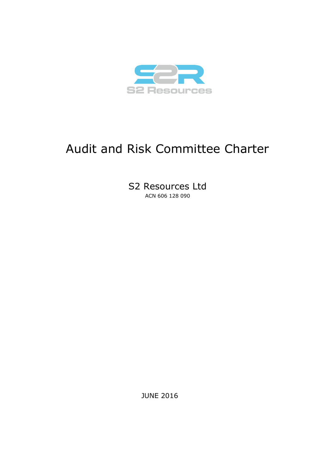

# Audit and Risk Committee Charter

S2 Resources Ltd ACN 606 128 090

JUNE 2016 JUNE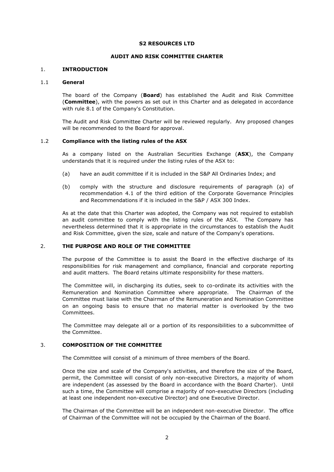#### **S2 RESOURCES LTD**

#### **AUDIT AND RISK COMMITTEE CHARTER**

#### 1. **INTRODUCTION**

#### 1.1 **General**

The board of the Company (**Board**) has established the Audit and Risk Committee (**Committee**), with the powers as set out in this Charter and as delegated in accordance with rule 8.1 of the Company's Constitution.

The Audit and Risk Committee Charter will be reviewed regularly. Any proposed changes will be recommended to the Board for approval.

#### 1.2 **Compliance with the listing rules of the ASX**

As a company listed on the Australian Securities Exchange (**ASX**), the Company understands that it is required under the listing rules of the ASX to:

- (a) have an audit committee if it is included in the S&P All Ordinaries Index; and
- (b) comply with the structure and disclosure requirements of paragraph (a) of recommendation 4.1 of the third edition of the Corporate Governance Principles and Recommendations if it is included in the S&P / ASX 300 Index.

As at the date that this Charter was adopted, the Company was not required to establish an audit committee to comply with the listing rules of the ASX. The Company has nevertheless determined that it is appropriate in the circumstances to establish the Audit and Risk Committee, given the size, scale and nature of the Company's operations.

#### 2. **THE PURPOSE AND ROLE OF THE COMMITTEE**

The purpose of the Committee is to assist the Board in the effective discharge of its responsibilities for risk management and compliance, financial and corporate reporting and audit matters. The Board retains ultimate responsibility for these matters.

The Committee will, in discharging its duties, seek to co-ordinate its activities with the Remuneration and Nomination Committee where appropriate. The Chairman of the Committee must liaise with the Chairman of the Remuneration and Nomination Committee on an ongoing basis to ensure that no material matter is overlooked by the two Committees.

The Committee may delegate all or a portion of its responsibilities to a subcommittee of the Committee.

#### 3. **COMPOSITION OF THE COMMITTEE**

The Committee will consist of a minimum of three members of the Board.

Once the size and scale of the Company's activities, and therefore the size of the Board, permit, the Committee will consist of only non-executive Directors, a majority of whom are independent (as assessed by the Board in accordance with the Board Charter). Until such a time, the Committee will comprise a majority of non-executive Directors (including at least one independent non-executive Director) and one Executive Director.

The Chairman of the Committee will be an independent non-executive Director. The office of Chairman of the Committee will not be occupied by the Chairman of the Board.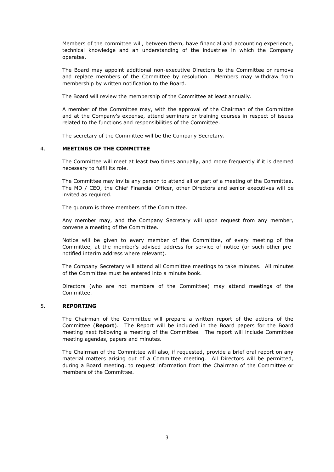Members of the committee will, between them, have financial and accounting experience, technical knowledge and an understanding of the industries in which the Company operates.

The Board may appoint additional non-executive Directors to the Committee or remove and replace members of the Committee by resolution. Members may withdraw from membership by written notification to the Board.

The Board will review the membership of the Committee at least annually.

A member of the Committee may, with the approval of the Chairman of the Committee and at the Company's expense, attend seminars or training courses in respect of issues related to the functions and responsibilities of the Committee.

The secretary of the Committee will be the Company Secretary.

## 4. **MEETINGS OF THE COMMITTEE**

The Committee will meet at least two times annually, and more frequently if it is deemed necessary to fulfil its role.

The Committee may invite any person to attend all or part of a meeting of the Committee. The MD / CEO, the Chief Financial Officer, other Directors and senior executives will be invited as required.

The quorum is three members of the Committee.

Any member may, and the Company Secretary will upon request from any member, convene a meeting of the Committee.

Notice will be given to every member of the Committee, of every meeting of the Committee, at the member's advised address for service of notice (or such other prenotified interim address where relevant).

The Company Secretary will attend all Committee meetings to take minutes. All minutes of the Committee must be entered into a minute book.

Directors (who are not members of the Committee) may attend meetings of the Committee.

### 5. **REPORTING**

The Chairman of the Committee will prepare a written report of the actions of the Committee (**Report**). The Report will be included in the Board papers for the Board meeting next following a meeting of the Committee. The report will include Committee meeting agendas, papers and minutes.

The Chairman of the Committee will also, if requested, provide a brief oral report on any material matters arising out of a Committee meeting. All Directors will be permitted, during a Board meeting, to request information from the Chairman of the Committee or members of the Committee.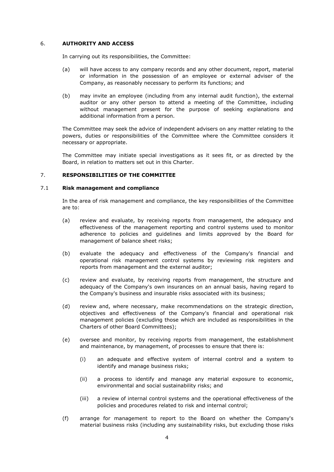### 6. **AUTHORITY AND ACCESS**

In carrying out its responsibilities, the Committee:

- (a) will have access to any company records and any other document, report, material or information in the possession of an employee or external adviser of the Company, as reasonably necessary to perform its functions; and
- (b) may invite an employee (including from any internal audit function), the external auditor or any other person to attend a meeting of the Committee, including without management present for the purpose of seeking explanations and additional information from a person.

The Committee may seek the advice of independent advisers on any matter relating to the powers, duties or responsibilities of the Committee where the Committee considers it necessary or appropriate.

The Committee may initiate special investigations as it sees fit, or as directed by the Board, in relation to matters set out in this Charter.

### 7. **RESPONSIBILITIES OF THE COMMITTEE**

## 7.1 **Risk management and compliance**

In the area of risk management and compliance, the key responsibilities of the Committee are to:

- (a) review and evaluate, by receiving reports from management, the adequacy and effectiveness of the management reporting and control systems used to monitor adherence to policies and guidelines and limits approved by the Board for management of balance sheet risks;
- (b) evaluate the adequacy and effectiveness of the Company's financial and operational risk management control systems by reviewing risk registers and reports from management and the external auditor;
- (c) review and evaluate, by receiving reports from management, the structure and adequacy of the Company's own insurances on an annual basis, having regard to the Company's business and insurable risks associated with its business;
- (d) review and, where necessary, make recommendations on the strategic direction, objectives and effectiveness of the Company's financial and operational risk management policies (excluding those which are included as responsibilities in the Charters of other Board Committees);
- (e) oversee and monitor, by receiving reports from management, the establishment and maintenance, by management, of processes to ensure that there is:
	- (i) an adequate and effective system of internal control and a system to identify and manage business risks;
	- (ii) a process to identify and manage any material exposure to economic, environmental and social sustainability risks; and
	- (iii) a review of internal control systems and the operational effectiveness of the policies and procedures related to risk and internal control;
- (f) arrange for management to report to the Board on whether the Company's material business risks (including any sustainability risks, but excluding those risks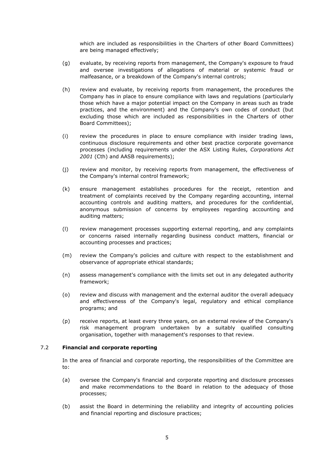which are included as responsibilities in the Charters of other Board Committees) are being managed effectively;

- (g) evaluate, by receiving reports from management, the Company's exposure to fraud and oversee investigations of allegations of material or systemic fraud or malfeasance, or a breakdown of the Company's internal controls;
- (h) review and evaluate, by receiving reports from management, the procedures the Company has in place to ensure compliance with laws and regulations (particularly those which have a major potential impact on the Company in areas such as trade practices, and the environment) and the Company's own codes of conduct (but excluding those which are included as responsibilities in the Charters of other Board Committees);
- (i) review the procedures in place to ensure compliance with insider trading laws, continuous disclosure requirements and other best practice corporate governance processes (including requirements under the ASX Listing Rules, *Corporations Act 2001* (Cth) and AASB requirements);
- (j) review and monitor, by receiving reports from management, the effectiveness of the Company's internal control framework;
- (k) ensure management establishes procedures for the receipt, retention and treatment of complaints received by the Company regarding accounting, internal accounting controls and auditing matters, and procedures for the confidential, anonymous submission of concerns by employees regarding accounting and auditing matters;
- (l) review management processes supporting external reporting, and any complaints or concerns raised internally regarding business conduct matters, financial or accounting processes and practices;
- (m) review the Company's policies and culture with respect to the establishment and observance of appropriate ethical standards;
- (n) assess management's compliance with the limits set out in any delegated authority framework;
- (o) review and discuss with management and the external auditor the overall adequacy and effectiveness of the Company's legal, regulatory and ethical compliance programs; and
- (p) receive reports, at least every three years, on an external review of the Company's risk management program undertaken by a suitably qualified consulting organisation, together with management's responses to that review.

## 7.2 **Financial and corporate reporting**

In the area of financial and corporate reporting, the responsibilities of the Committee are to:

- (a) oversee the Company's financial and corporate reporting and disclosure processes and make recommendations to the Board in relation to the adequacy of those processes;
- (b) assist the Board in determining the reliability and integrity of accounting policies and financial reporting and disclosure practices;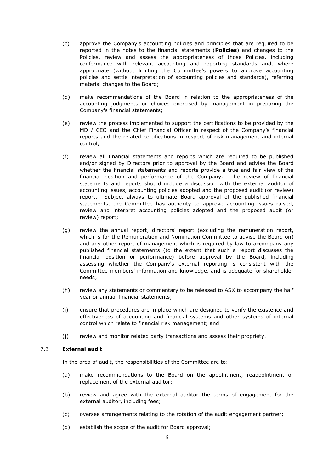- (c) approve the Company's accounting policies and principles that are required to be reported in the notes to the financial statements (**Policies**) and changes to the Policies, review and assess the appropriateness of those Policies, including conformance with relevant accounting and reporting standards and, where appropriate (without limiting the Committee's powers to approve accounting policies and settle interpretation of accounting policies and standards), referring material changes to the Board;
- (d) make recommendations of the Board in relation to the appropriateness of the accounting judgments or choices exercised by management in preparing the Company's financial statements;
- (e) review the process implemented to support the certifications to be provided by the MD / CEO and the Chief Financial Officer in respect of the Company's financial reports and the related certifications in respect of risk management and internal control;
- (f) review all financial statements and reports which are required to be published and/or signed by Directors prior to approval by the Board and advise the Board whether the financial statements and reports provide a true and fair view of the financial position and performance of the Company. The review of financial statements and reports should include a discussion with the external auditor of accounting issues, accounting policies adopted and the proposed audit (or review) report. Subject always to ultimate Board approval of the published financial statements, the Committee has authority to approve accounting issues raised, review and interpret accounting policies adopted and the proposed audit (or review) report;
- (g) review the annual report, directors' report (excluding the remuneration report, which is for the Remuneration and Nomination Committee to advise the Board on) and any other report of management which is required by law to accompany any published financial statements (to the extent that such a report discusses the financial position or performance) before approval by the Board, including assessing whether the Company's external reporting is consistent with the Committee members' information and knowledge, and is adequate for shareholder needs;
- (h) review any statements or commentary to be released to ASX to accompany the half year or annual financial statements;
- (i) ensure that procedures are in place which are designed to verify the existence and effectiveness of accounting and financial systems and other systems of internal control which relate to financial risk management; and
- (j) review and monitor related party transactions and assess their propriety.

# 7.3 **External audit**

In the area of audit, the responsibilities of the Committee are to:

- (a) make recommendations to the Board on the appointment, reappointment or replacement of the external auditor;
- (b) review and agree with the external auditor the terms of engagement for the external auditor, including fees;
- (c) oversee arrangements relating to the rotation of the audit engagement partner;
- (d) establish the scope of the audit for Board approval;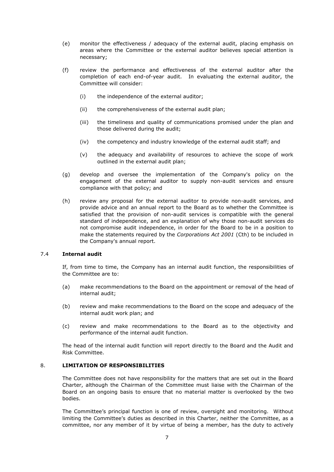- (e) monitor the effectiveness / adequacy of the external audit, placing emphasis on areas where the Committee or the external auditor believes special attention is necessary;
- (f) review the performance and effectiveness of the external auditor after the completion of each end-of-year audit. In evaluating the external auditor, the Committee will consider:
	- (i) the independence of the external auditor;
	- (ii) the comprehensiveness of the external audit plan;
	- (iii) the timeliness and quality of communications promised under the plan and those delivered during the audit;
	- (iv) the competency and industry knowledge of the external audit staff; and
	- (v) the adequacy and availability of resources to achieve the scope of work outlined in the external audit plan;
- (g) develop and oversee the implementation of the Company's policy on the engagement of the external auditor to supply non-audit services and ensure compliance with that policy; and
- (h) review any proposal for the external auditor to provide non-audit services, and provide advice and an annual report to the Board as to whether the Committee is satisfied that the provision of non-audit services is compatible with the general standard of independence, and an explanation of why those non-audit services do not compromise audit independence, in order for the Board to be in a position to make the statements required by the *Corporations Act 2001* (Cth) to be included in the Company's annual report.

# 7.4 **Internal audit**

If, from time to time, the Company has an internal audit function, the responsibilities of the Committee are to:

- (a) make recommendations to the Board on the appointment or removal of the head of internal audit;
- (b) review and make recommendations to the Board on the scope and adequacy of the internal audit work plan; and
- (c) review and make recommendations to the Board as to the objectivity and performance of the internal audit function.

The head of the internal audit function will report directly to the Board and the Audit and Risk Committee.

## 8. **LIMITATION OF RESPONSIBILITIES**

The Committee does not have responsibility for the matters that are set out in the Board Charter, although the Chairman of the Committee must liaise with the Chairman of the Board on an ongoing basis to ensure that no material matter is overlooked by the two bodies.

The Committee's principal function is one of review, oversight and monitoring. Without limiting the Committee's duties as described in this Charter, neither the Committee, as a committee, nor any member of it by virtue of being a member, has the duty to actively